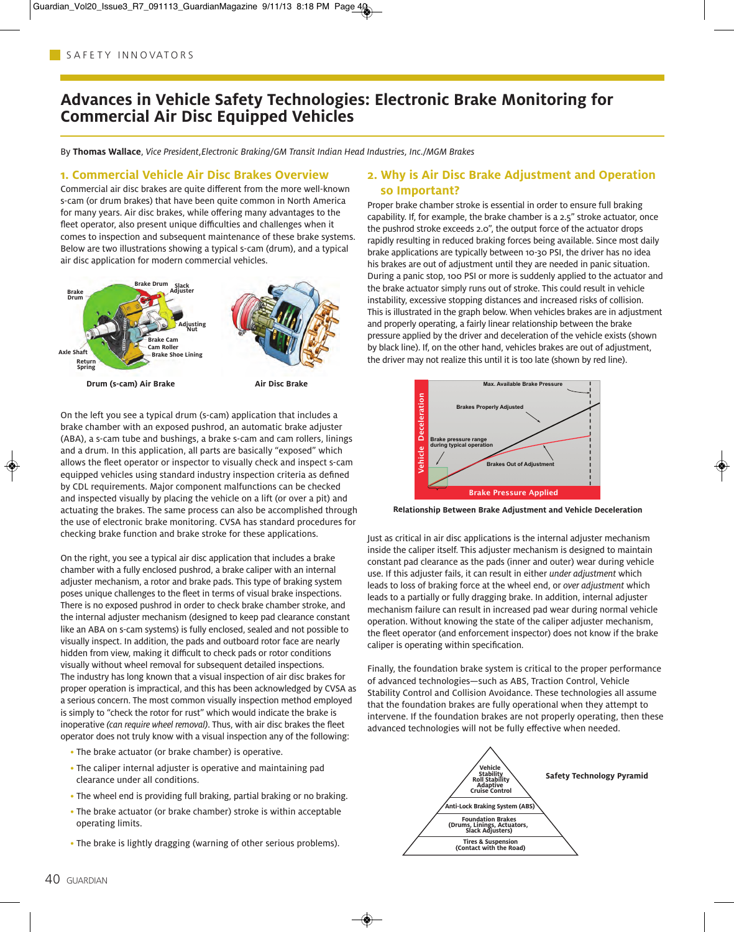# **Advances in Vehicle Safety Technologies: Electronic Brake Monitoring for Commercial Air Disc Equipped Vehicles**

By **Thomas Wallace**, Vice President,Electronic Braking/GM Transit Indian Head Industries, Inc./MGM Brakes

#### **1. Commercial Vehicle Air Disc Brakes Overview**

Commercial air disc brakes are quite different from the more well-known s-cam (or drum brakes) that have been quite common in North America for many years. Air disc brakes, while offering many advantages to the fleet operator, also present unique difficulties and challenges when it comes to inspection and subsequent maintenance of these brake systems. Below are two illustrations showing a typical s-cam (drum), and a typical air disc application for modern commercial vehicles.



On the left you see a typical drum (s-cam) application that includes a brake chamber with an exposed pushrod, an automatic brake adjuster (ABA), a s-cam tube and bushings, a brake s-cam and cam rollers, linings and a drum. In this application, all parts are basically "exposed" which allows the fleet operator or inspector to visually check and inspect s-cam equipped vehicles using standard industry inspection criteria as defined by CDL requirements. Major component malfunctions can be checked and inspected visually by placing the vehicle on a lift (or over a pit) and actuating the brakes. The same process can also be accomplished through the use of electronic brake monitoring. CVSA has standard procedures for checking brake function and brake stroke for these applications.

On the right, you see a typical air disc application that includes a brake chamber with a fully enclosed pushrod, a brake caliper with an internal adjuster mechanism, a rotor and brake pads. This type of braking system poses unique challenges to the fleet in terms of visual brake inspections. There is no exposed pushrod in order to check brake chamber stroke, and the internal adjuster mechanism (designed to keep pad clearance constant like an ABA on s-cam systems) is fully enclosed, sealed and not possible to visually inspect. In addition, the pads and outboard rotor face are nearly hidden from view, making it difficult to check pads or rotor conditions visually without wheel removal for subsequent detailed inspections. The industry has long known that a visual inspection of air disc brakes for proper operation is impractical, and this has been acknowledged by CVSA as a serious concern. The most common visually inspection method employed is simply to "check the rotor for rust" which would indicate the brake is inoperative (can require wheel removal). Thus, with air disc brakes the fleet operator does not truly know with a visual inspection any of the following:

- The brake actuator (or brake chamber) is operative.
- The caliper internal adjuster is operative and maintaining pad clearance under all conditions.
- The wheel end is providing full braking, partial braking or no braking.
- The brake actuator (or brake chamber) stroke is within acceptable operating limits.
- The brake is lightly dragging (warning of other serious problems).

#### **2. Why is Air Disc Brake Adjustment and Operation so Important?**

Proper brake chamber stroke is essential in order to ensure full braking capability. If, for example, the brake chamber is a 2.5" stroke actuator, once the pushrod stroke exceeds 2.0", the output force of the actuator drops rapidly resulting in reduced braking forces being available. Since most daily brake applications are typically between 10-30 PSI, the driver has no idea his brakes are out of adjustment until they are needed in panic situation. During a panic stop, 100 PSI or more is suddenly applied to the actuator and the brake actuator simply runs out of stroke. This could result in vehicle instability, excessive stopping distances and increased risks of collision. This is illustrated in the graph below. When vehicles brakes are in adjustment and properly operating, a fairly linear relationship between the brake pressure applied by the driver and deceleration of the vehicle exists (shown by black line). If, on the other hand, vehicles brakes are out of adjustment, the driver may not realize this until it is too late (shown by red line).



**Relationship Between Brake Adjustment and Vehicle Deceleration**

Just as critical in air disc applications is the internal adjuster mechanism inside the caliper itself. This adjuster mechanism is designed to maintain constant pad clearance as the pads (inner and outer) wear during vehicle use. If this adjuster fails, it can result in either under adjustment which leads to loss of braking force at the wheel end, or over adjustment which leads to a partially or fully dragging brake. In addition, internal adjuster mechanism failure can result in increased pad wear during normal vehicle operation. Without knowing the state of the caliper adjuster mechanism, the fleet operator (and enforcement inspector) does not know if the brake caliper is operating within specification.

Finally, the foundation brake system is critical to the proper performance of advanced technologies—such as ABS, Traction Control, Vehicle Stability Control and Collision Avoidance. These technologies all assume that the foundation brakes are fully operational when they attempt to intervene. If the foundation brakes are not properly operating, then these advanced technologies will not be fully effective when needed.